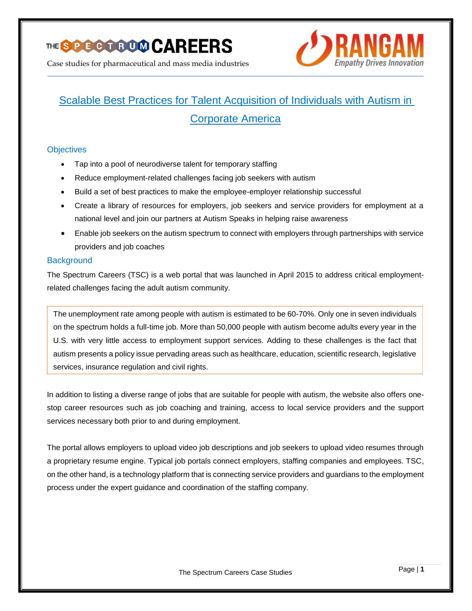

Case studies for pharmaceutical and mass media industries



# Scalable Best Practices for Talent Acquisition of Individuals with Autism in Corporate America

## **Objectives**

- Tap into a pool of neurodiverse talent for temporary staffing
- Reduce employment-related challenges facing job seekers with autism
- Build a set of best practices to make the employee-employer relationship successful
- Create a library of resources for employers, job seekers and service providers for employment at a national level and join our partners at Autism Speaks in helping raise awareness
- Enable job seekers on the autism spectrum to connect with employers through partnerships with service providers and job coaches

#### **Background**

The Spectrum Careers (TSC) is a web portal that was launched in April 2015 to address critical employmentrelated challenges facing the adult autism community.

The unemployment rate among people with autism is estimated to be 60-70%. Only one in seven individuals on the spectrum holds a full-time job. More than 50,000 people with autism become adults every year in the U.S. with very little access to employment support services. Adding to these challenges is the fact that autism presents a policy issue pervading areas such as healthcare, education, scientific research, legislative services, insurance regulation and civil rights.

In addition to listing a diverse range of jobs that are suitable for people with autism, the website also offers onestop career resources such as job coaching and training, access to local service providers and the support services necessary both prior to and during employment.

The portal allows employers to upload video job descriptions and job seekers to upload video resumes through a proprietary resume engine. Typical job portals connect employers, staffing companies and employees. TSC, on the other hand, is a technology platform that is connecting service providers and guardians to the employment process under the expert guidance and coordination of the staffing company.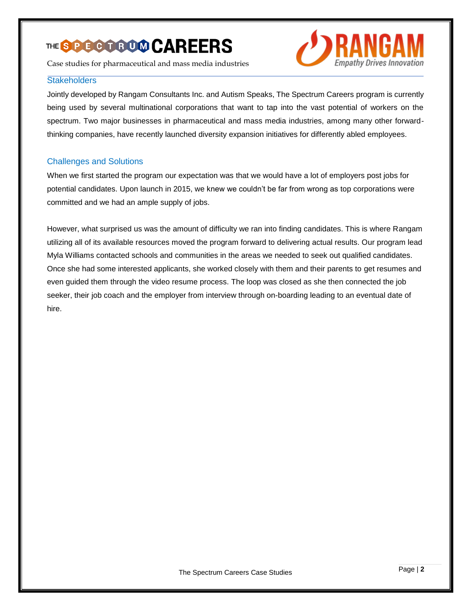# THE SOGGGGOOD CAREERS

Case studies for pharmaceutical and mass media industries

#### **Stakeholders**



Jointly developed by Rangam Consultants Inc. and Autism Speaks, The Spectrum Careers program is currently being used by several multinational corporations that want to tap into the vast potential of workers on the spectrum. Two major businesses in pharmaceutical and mass media industries, among many other forwardthinking companies, have recently launched diversity expansion initiatives for differently abled employees.

## Challenges and Solutions

When we first started the program our expectation was that we would have a lot of employers post jobs for potential candidates. Upon launch in 2015, we knew we couldn't be far from wrong as top corporations were committed and we had an ample supply of jobs.

However, what surprised us was the amount of difficulty we ran into finding candidates. This is where Rangam utilizing all of its available resources moved the program forward to delivering actual results. Our program lead Myla Williams contacted schools and communities in the areas we needed to seek out qualified candidates. Once she had some interested applicants, she worked closely with them and their parents to get resumes and even guided them through the video resume process. The loop was closed as she then connected the job seeker, their job coach and the employer from interview through on-boarding leading to an eventual date of hire.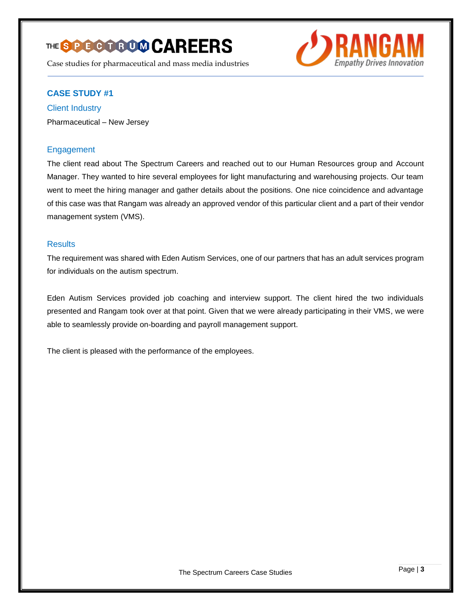# THE SPOCCOOOO CAREERS

Case studies for pharmaceutical and mass media industries



# **CASE STUDY #1**

Client Industry Pharmaceutical – New Jersey

## **Engagement**

The client read about The Spectrum Careers and reached out to our Human Resources group and Account Manager. They wanted to hire several employees for light manufacturing and warehousing projects. Our team went to meet the hiring manager and gather details about the positions. One nice coincidence and advantage of this case was that Rangam was already an approved vendor of this particular client and a part of their vendor management system (VMS).

#### **Results**

The requirement was shared with Eden Autism Services, one of our partners that has an adult services program for individuals on the autism spectrum.

Eden Autism Services provided job coaching and interview support. The client hired the two individuals presented and Rangam took over at that point. Given that we were already participating in their VMS, we were able to seamlessly provide on-boarding and payroll management support.

The client is pleased with the performance of the employees.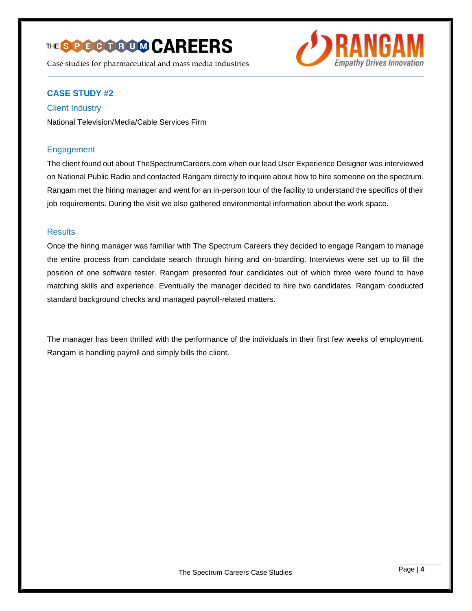# THE SPOCCOOOO CAREERS

Case studies for pharmaceutical and mass media industries



# **CASE STUDY #2**

Client Industry

National Television/Media/Cable Services Firm

## Engagement

The client found out about TheSpectrumCareers.com when our lead User Experience Designer was interviewed on National Public Radio and contacted Rangam directly to inquire about how to hire someone on the spectrum. Rangam met the hiring manager and went for an in-person tour of the facility to understand the specifics of their job requirements. During the visit we also gathered environmental information about the work space.

#### **Results**

Once the hiring manager was familiar with The Spectrum Careers they decided to engage Rangam to manage the entire process from candidate search through hiring and on-boarding. Interviews were set up to fill the position of one software tester. Rangam presented four candidates out of which three were found to have matching skills and experience. Eventually the manager decided to hire two candidates. Rangam conducted standard background checks and managed payroll-related matters.

The manager has been thrilled with the performance of the individuals in their first few weeks of employment. Rangam is handling payroll and simply bills the client.